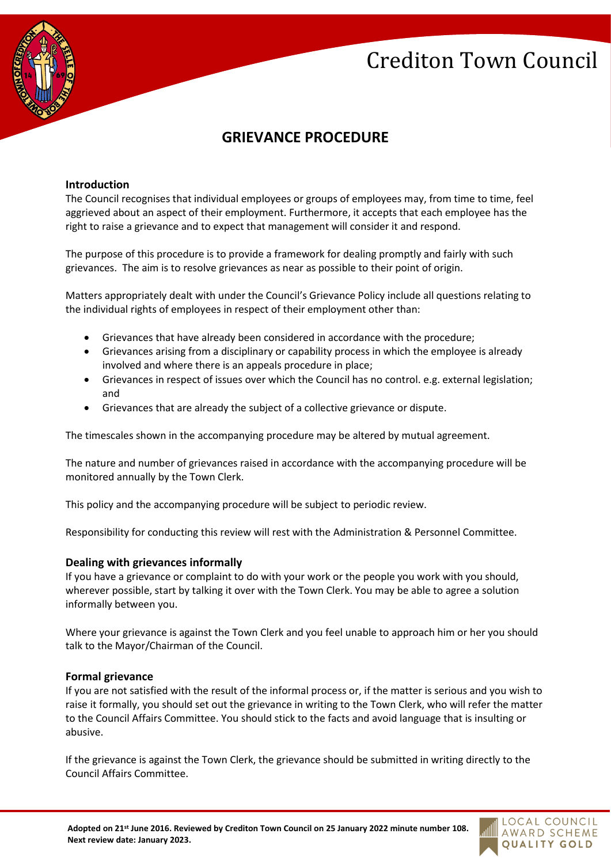# Crediton Town Council



## **GRIEVANCE PROCEDURE**

#### **Introduction**

The Council recognises that individual employees or groups of employees may, from time to time, feel aggrieved about an aspect of their employment. Furthermore, it accepts that each employee has the right to raise a grievance and to expect that management will consider it and respond.

The purpose of this procedure is to provide a framework for dealing promptly and fairly with such grievances. The aim is to resolve grievances as near as possible to their point of origin.

Matters appropriately dealt with under the Council's Grievance Policy include all questions relating to the individual rights of employees in respect of their employment other than:

- Grievances that have already been considered in accordance with the procedure;
- Grievances arising from a disciplinary or capability process in which the employee is already involved and where there is an appeals procedure in place;
- Grievances in respect of issues over which the Council has no control. e.g. external legislation; and
- Grievances that are already the subject of a collective grievance or dispute.

The timescales shown in the accompanying procedure may be altered by mutual agreement.

The nature and number of grievances raised in accordance with the accompanying procedure will be monitored annually by the Town Clerk.

This policy and the accompanying procedure will be subject to periodic review.

Responsibility for conducting this review will rest with the Administration & Personnel Committee.

#### **Dealing with grievances informally**

If you have a grievance or complaint to do with your work or the people you work with you should, wherever possible, start by talking it over with the Town Clerk. You may be able to agree a solution informally between you.

Where your grievance is against the Town Clerk and you feel unable to approach him or her you should talk to the Mayor/Chairman of the Council.

#### **Formal grievance**

If you are not satisfied with the result of the informal process or, if the matter is serious and you wish to raise it formally, you should set out the grievance in writing to the Town Clerk, who will refer the matter to the Council Affairs Committee. You should stick to the facts and avoid language that is insulting or abusive.

If the grievance is against the Town Clerk, the grievance should be submitted in writing directly to the Council Affairs Committee.